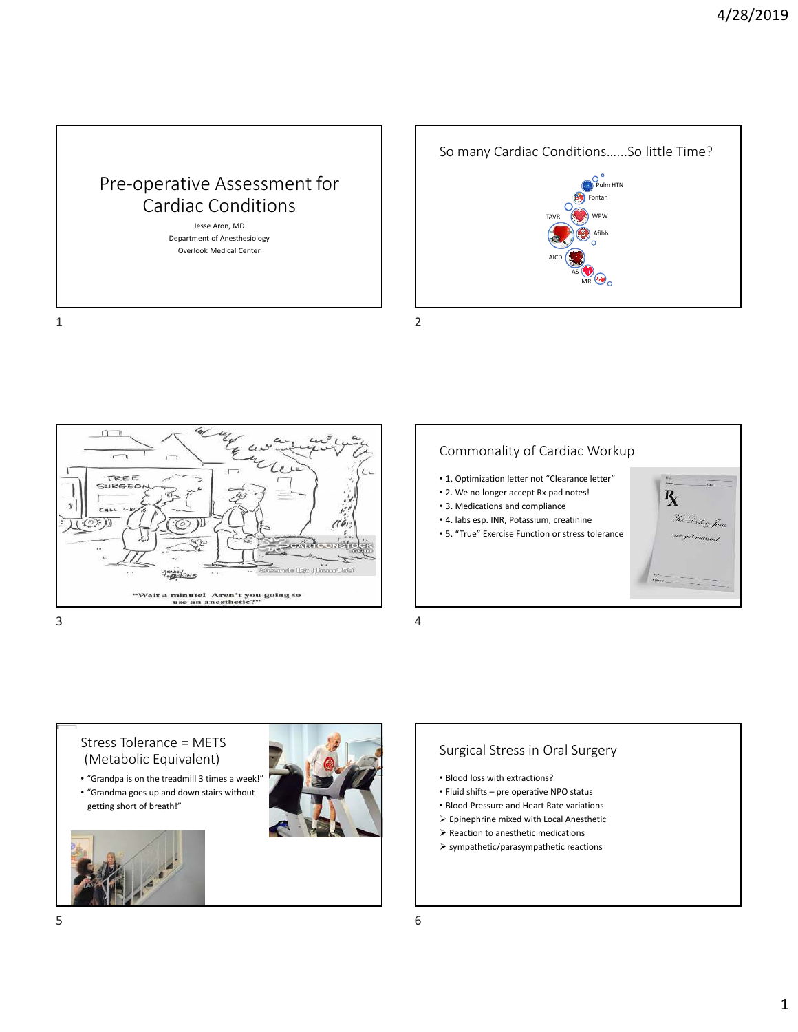





# Commonality of Cardiac Workup

- 1. Optimization letter not "Clearance letter"
- 2. We no longer accept Rx pad notes!
- 3. Medications and compliance
- 4. labs esp. INR, Potassium, creatinine
- 5. "True" Exercise Function or stress tolerance



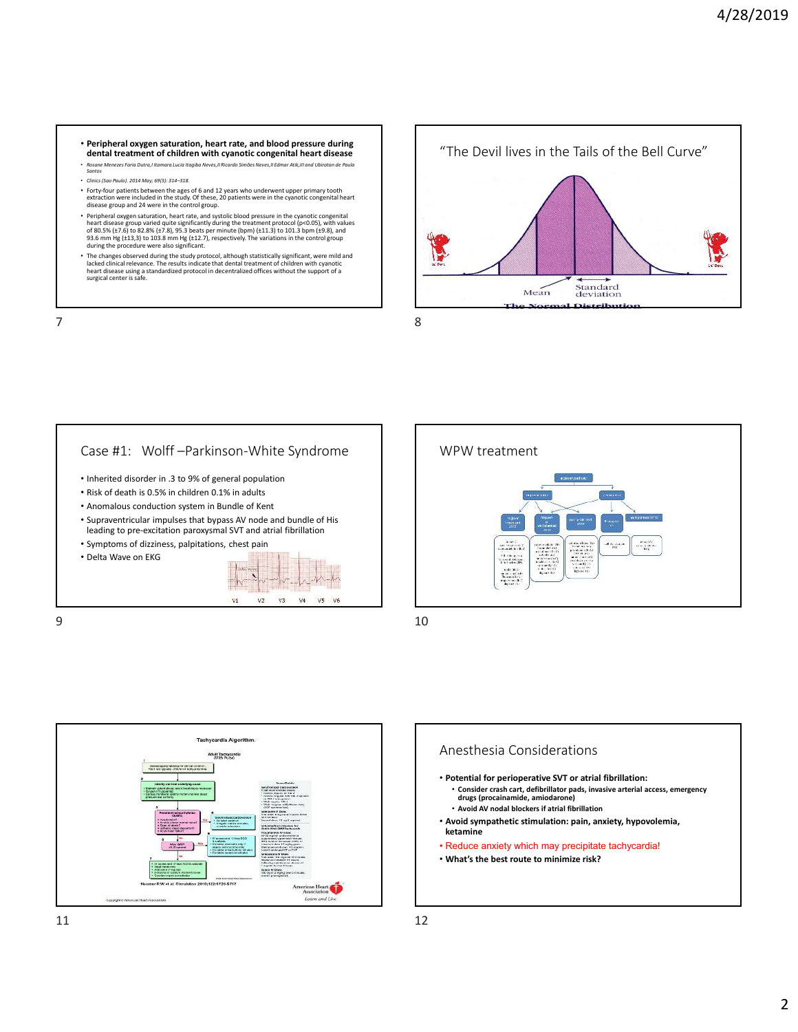- **Peripheral oxygen saturation, heart rate, and blood pressure during dental treatment of children with cyanotic congenital heart disease**
- *Rosane Menezes Faria Dutra,I Itamara Lucia Itagiba Neves,II Ricardo Simões Neves,II Edmar Atik,III and Ubiratan de Paula Santos* • *Clinics (Sao Paulo). 2014 May; 69(5): 314–318.*
- Forty-four patients between the ages of 6 and 12 years who underwent upper primary tooth<br>extraction were included in the study. Of these, 20 patients were in the cyanotic congenital heart<br>disease group and 24 were in the
- Peripheral oxygen saturation, heart rate, and systolic blood pressure in the cyanotic congenital<br>heart disease group varied quite significantly during the treatment protocol (p<0.05), with values<br>of 80.5% (±7.6) to 82.8
- The changes observed during the study protocol, although statistically significant, were mild and lacked clinical relevance. The results indicate that dental treatment of children with cyanotic heart disease using a standardized protocol in decentralized offices without the support of a surgical center is safe.







 $9 \hspace{2.5cm} 10$ 



## Anesthesia Considerations

- **Potential for perioperative SVT or atrial fibrillation:** • **Consider crash cart, defibrillator pads, invasive arterial access, emergency**
- **drugs (procainamide, amiodarone)**
- **Avoid AV nodal blockers if atrial fibrillation**
- **Avoid sympathetic stimulation: pain, anxiety, hypovolemia, ketamine**
- Reduce anxiety which may precipitate tachycardia! • **What's the best route to minimize risk?**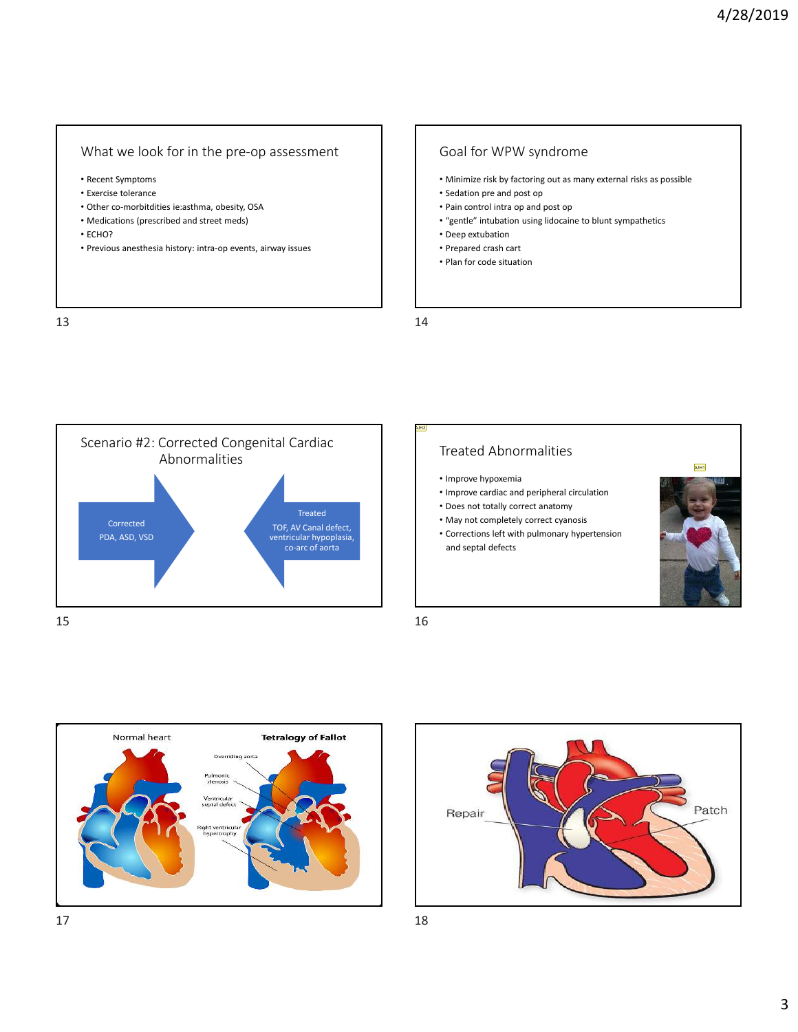#### What we look for in the pre-op assessment

- Recent Symptoms
- Exercise tolerance
- Other co-morbitdities ie:asthma, obesity, OSA
- Medications (prescribed and street meds)
- ECHO?
- Previous anesthesia history: intra-op events, airway issues

 $13$  and  $14$ 

### Goal for WPW syndrome

- Minimize risk by factoring out as many external risks as possible
- Sedation pre and post op
- Pain control intra op and post op
- "gentle" intubation using lidocaine to blunt sympathetics
- Deep extubation
- Prepared crash cart
- Plan for code situation

AJH2



## Treated Abnormalities

- Improve hypoxemia
- Improve cardiac and peripheral circulation
- Does not totally correct anatomy
- May not completely correct cyanosis
- Corrections left with pulmonary hypertension and septal defects





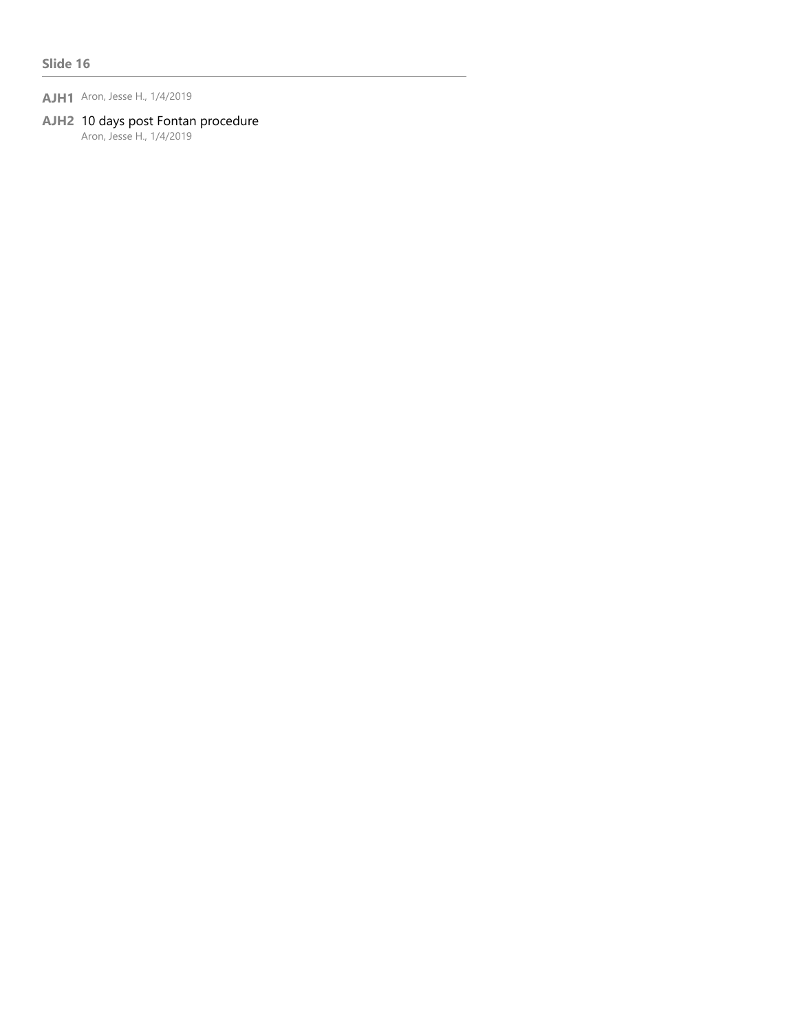**AJH1** Aron, Jesse H., 1/4/2019

## **AJH2** 10 days post Fontan procedure

Aron, Jesse H., 1/4/2019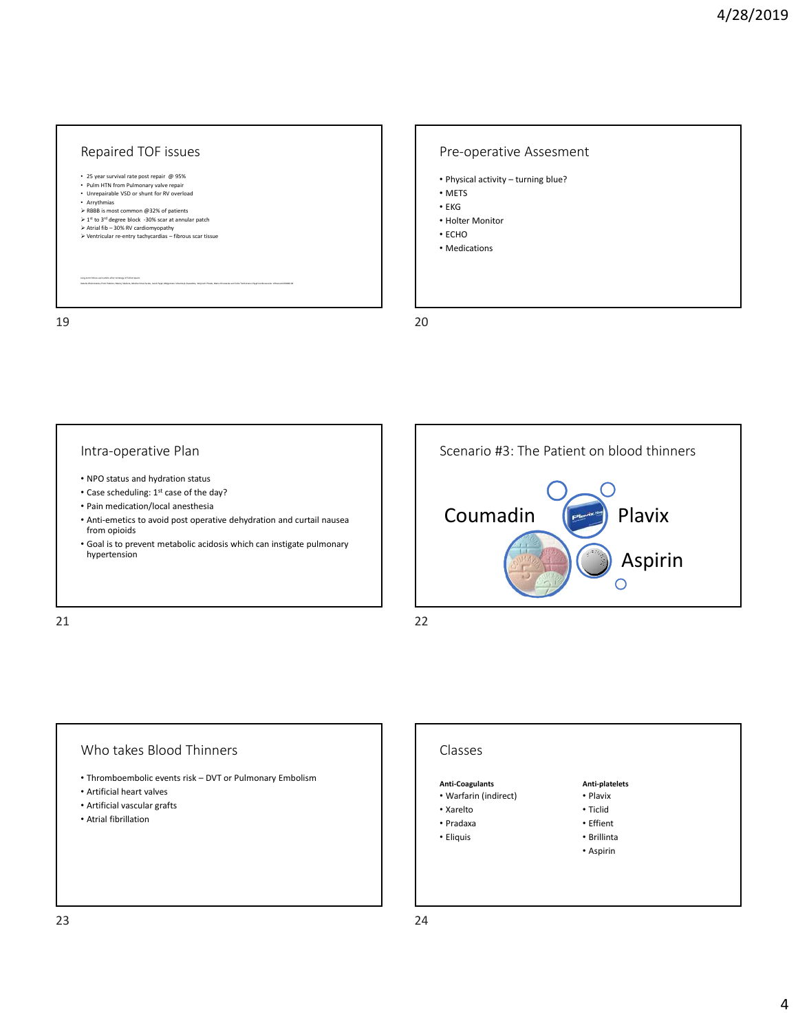

## Pre-operative Assesment

- Physical activity turning blue?
- METS
- EKG
- Holter Monitor
- ECHO
- Medications

#### Intra-operative Plan

- NPO status and hydration status
- Case scheduling: 1<sup>st</sup> case of the day?
- Pain medication/local anesthesia
- Anti-emetics to avoid post operative dehydration and curtail nausea from opioids
- Goal is to prevent metabolic acidosis which can instigate pulmonary hypertension

21 22



**Anti-platelets** • Plavix • Ticlid • Effient • Brillinta • Aspirin

#### Who takes Blood Thinners

- Thromboembolic events risk DVT or Pulmonary Embolism
- Artificial heart valves
- Artificial vascular grafts
- Atrial fibrillation

#### Classes

#### **Anti-Coagulants**

- Warfarin (indirect)
- Xarelto
- Pradaxa
- Eliquis
-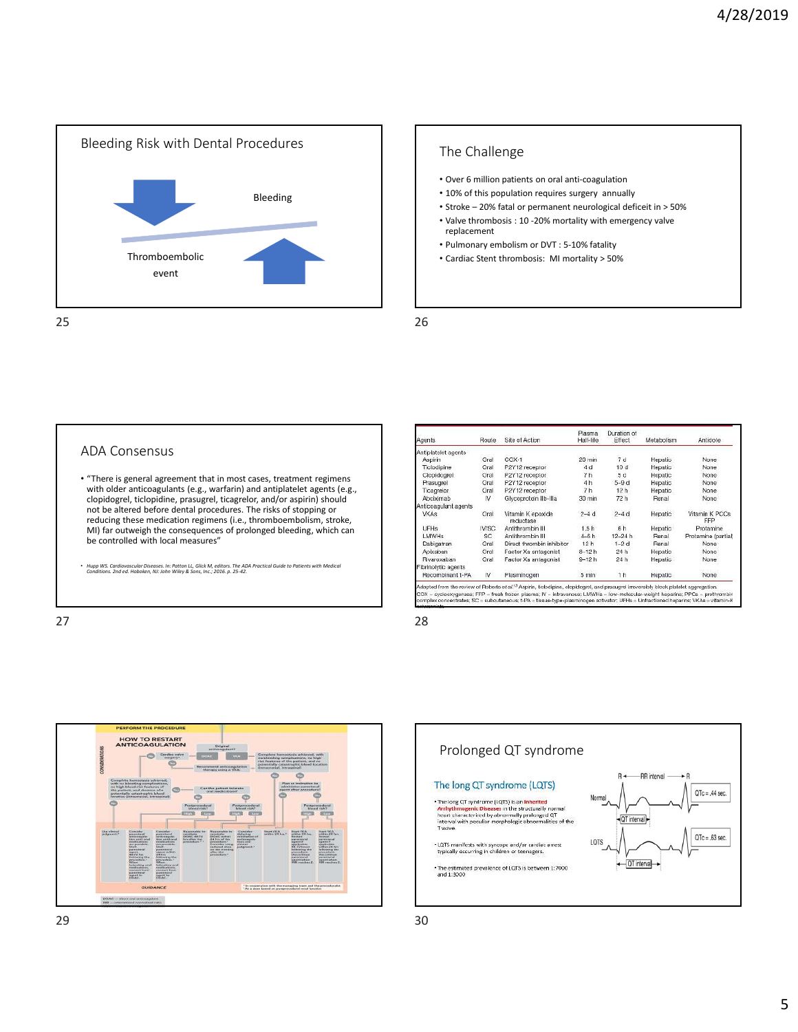

## The Challenge

- Over 6 million patients on oral anti-coagulation
- 10% of this population requires surgery annually
- Stroke 20% fatal or permanent neurological deficeit in > 50%
- Valve thrombosis : 10 -20% mortality with emergency valve replacement
- Pulmonary embolism or DVT : 5-10% fatality
- Cardiac Stent thrombosis: MI mortality > 50%

#### ADA Consensus

- "There is general agreement that in most cases, treatment regimens with older anticoagulants (e.g., warfarin) and antiplatelet agents (e.g., clopidogrel, ticlopidine, prasugrel, ticagrelor, and/or aspirin) should not be altered before dental procedures. The risks of stopping or reducing these medication regimens (i.e., thromboembolism, stroke, MI) far outweigh the consequences of prolonged bleeding, which can be controlled with local measures"
- *Hupp WS. Cardiovascular Diseases. In: Patton LL, Glick M, editors. The ADA Practical Guide to Patients with Medical Conditions. 2nd ed. Hoboken, NJ: John Wiley & Sons, Inc.; 2016. p. 25-42.*

 $27$  28

| Agents               | Route | Site of Action                 | Plasma<br>Half-life | Duration of<br>Effect | Metabolism | Antidote              |
|----------------------|-------|--------------------------------|---------------------|-----------------------|------------|-----------------------|
| Antiplatelet agents  |       |                                |                     |                       |            |                       |
| Aspirin              | Oral  | $COX-1$                        | $20 \text{ min}$    | 7d                    | Hepatic    | None                  |
| Ticlodipine          | Oral  | P2Y12 receptor                 | 4 d                 | 10d                   | Hepatic    | None                  |
| Clopidogrel          | Oral  | P2Y12 receptor                 | 7h                  | 5d                    | Hepatic    | None                  |
| Prasugrel            | Oral  | P2Y12 receptor                 | 4h                  | $5-9d$                | Hepatic    | None                  |
| <b>Ticagrelor</b>    | Oral  | P2Y12 receptor                 | 7h                  | 12h                   | Hepatic    | None                  |
| Abciximab            | N     | Glycoprotein IIb-IIIa          | 30 min              | 72 h                  | Renal      | None                  |
| Anticoagulant agents |       |                                |                     |                       |            |                       |
| <b>VKAs</b>          | Oral  | Vitamin K epoxide<br>reductase | $2-4d$              | $2-4d$                | Hepatic    | Vitamin K PCCs<br>FFP |
| <b>UFHs</b>          | IV/SC | Antithrombin III               | 1.5h                | 6h                    | Hepatic    | Protamine             |
| LMWH <sub>s</sub>    | SC.   | Antithrombin III               | $4-6h$              | $12 - 24h$            | Renal      | Protamine (partial)   |
| Dabigatran           | Oral  | Direct thrombin inhibitor      | 12h                 | $1-2d$                | Renal      | None:                 |
| Apixaban             | Oral  | Factor Xa antagonist           | $8 - 12h$           | 24h                   | Hepatic    | None                  |
| Rivaroxaban          | Oral  | Factor Xa antagonist           | $9 - 12h$           | 24h                   | Hepatic-   | None:                 |
| Fibrinolytic agents  |       |                                |                     |                       |            |                       |
| Recombinant t-PA     | N     | Plasminogen                    | 5 min               | 1 <sub>h</sub>        | Hepatic    | None                  |